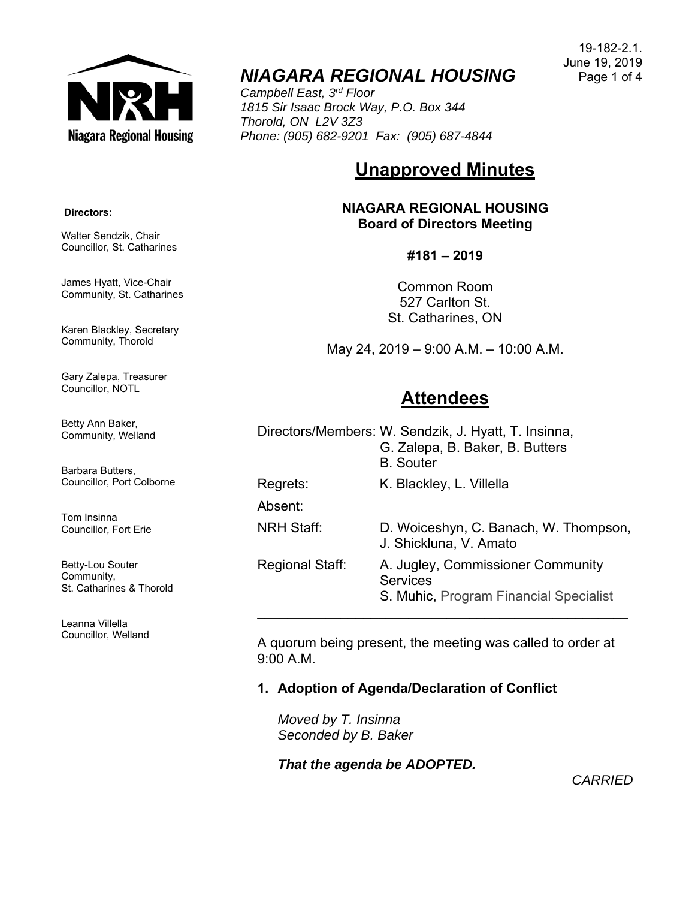

# *NIAGARA REGIONAL HOUSING*

*Campbell East, 3rd Floor 1815 Sir Isaac Brock Way, P.O. Box 344 Thorold, ON L2V 3Z3 Phone: (905) 682-9201 Fax: (905) 687-4844* 

# **Unapproved Minutes**

**NIAGARA REGIONAL HOUSING Board of Directors Meeting** 

#### **#181 – 2019**

Common Room 527 Carlton St. St. Catharines, ON

May 24, 2019 – 9:00 A.M. – 10:00 A.M.

## **Attendees**

Directors/Members: W. Sendzik, J. Hyatt, T. Insinna, G. Zalepa, B. Baker, B. Butters B. Souter Regrets: K. Blackley, L. Villella Absent: NRH Staff: D. Woiceshyn, C. Banach, W. Thompson, J. Shickluna, V. Amato Regional Staff: A. Jugley, Commissioner Community **Services** 

S. Muhic, Program Financial Specialist

A quorum being present, the meeting was called to order at 9:00 A.M.

\_\_\_\_\_\_\_\_\_\_\_\_\_\_\_\_\_\_\_\_\_\_\_\_\_\_\_\_\_\_\_\_\_\_\_\_\_\_\_\_\_\_\_\_\_\_\_\_\_

### **1. Adoption of Agenda/Declaration of Conflict**

*Moved by T. Insinna Seconded by B. Baker*

*That the agenda be ADOPTED.*

*CARRIED*

 **Directors:** 

Walter Sendzik, Chair Councillor, St. Catharines

James Hyatt, Vice-Chair Community, St. Catharines

Karen Blackley, Secretary Community, Thorold

Gary Zalepa, Treasurer Councillor, NOTL

Betty Ann Baker, Community, Welland

Barbara Butters, Councillor, Port Colborne

Tom Insinna Councillor, Fort Erie

Betty-Lou Souter Community, St. Catharines & Thorold

Leanna Villella Councillor, Welland

19-182-2.1. June 19, 2019 Page 1 of 4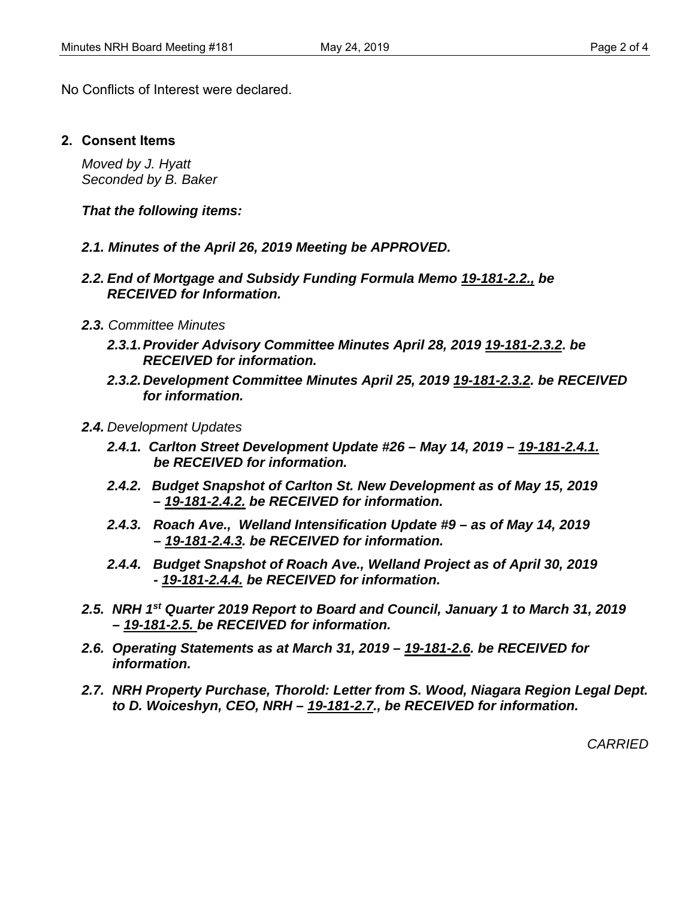No Conflicts of Interest were declared.

**2. Consent Items** 

*Moved by J. Hyatt Seconded by B. Baker* 

*That the following items:* 

- *2.1. Minutes of the April 26, 2019 Meeting be APPROVED.*
- *2.2. End of Mortgage and Subsidy Funding Formula Memo 19-181-2.2., be RECEIVED for Information.*
- *2.3. Committee Minutes*
	- *2.3.1. Provider Advisory Committee Minutes April 28, 2019 19-181-2.3.2. be RECEIVED for information.*
	- *2.3.2. Development Committee Minutes April 25, 2019 19-181-2.3.2. be RECEIVED for information.*
- *2.4. Development Updates* 
	- *2.4.1. Carlton Street Development Update #26 May 14, 2019 19-181-2.4.1. be RECEIVED for information.*
	- *2.4.2. Budget Snapshot of Carlton St. New Development as of May 15, 2019 – 19-181-2.4.2. be RECEIVED for information.*
	- *2.4.3. Roach Ave., Welland Intensification Update #9 as of May 14, 2019 – 19-181-2.4.3. be RECEIVED for information.*
	- *2.4.4. Budget Snapshot of Roach Ave., Welland Project as of April 30, 2019 - 19-181-2.4.4. be RECEIVED for information.*
- *2.5. NRH 1st Quarter 2019 Report to Board and Council, January 1 to March 31, 2019 – 19-181-2.5. be RECEIVED for information.*
- *2.6. Operating Statements as at March 31, 2019 19-181-2.6. be RECEIVED for information.*
- 2.7. NRH Property Purchase, Thorold: Letter from S. Wood, Niagara Region Legal Dept.  *to D. Woiceshyn, CEO, NRH – 19-181-2.7., be RECEIVED for information.*

*CARRIED*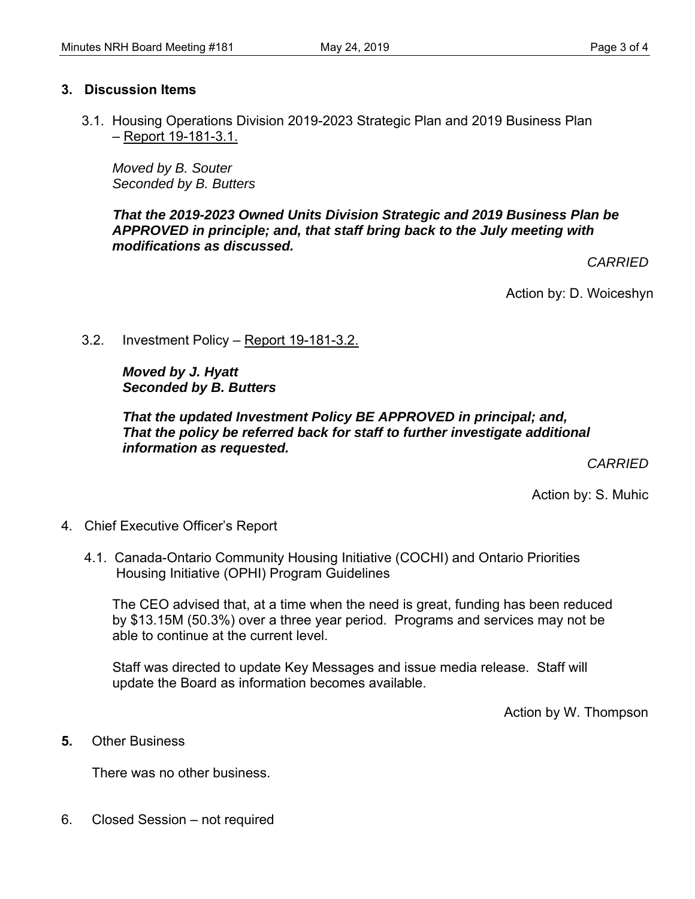#### **3. Discussion Items**

3.1. Housing Operations Division 2019-2023 Strategic Plan and 2019 Business Plan – Report 19-181-3.1.

*Moved by B. Souter Seconded by B. Butters* 

*That the 2019-2023 Owned Units Division Strategic and 2019 Business Plan be APPROVED in principle; and, that staff bring back to the July meeting with modifications as discussed.* 

*CARRIED* 

Action by: D. Woiceshyn

#### 3.2. Investment Policy – Report 19-181-3.2.

### *Moved by J. Hyatt Seconded by B. Butters*

#### *That the updated Investment Policy BE APPROVED in principal; and, That the policy be referred back for staff to further investigate additional information as requested.*

*CARRIED* 

Action by: S. Muhic

- 4. Chief Executive Officer's Report
	- 4.1. Canada-Ontario Community Housing Initiative (COCHI) and Ontario Priorities Housing Initiative (OPHI) Program Guidelines

The CEO advised that, at a time when the need is great, funding has been reduced by \$13.15M (50.3%) over a three year period. Programs and services may not be able to continue at the current level.

Staff was directed to update Key Messages and issue media release. Staff will update the Board as information becomes available.

Action by W. Thompson

**5.** Other Business

There was no other business.

6. Closed Session – not required